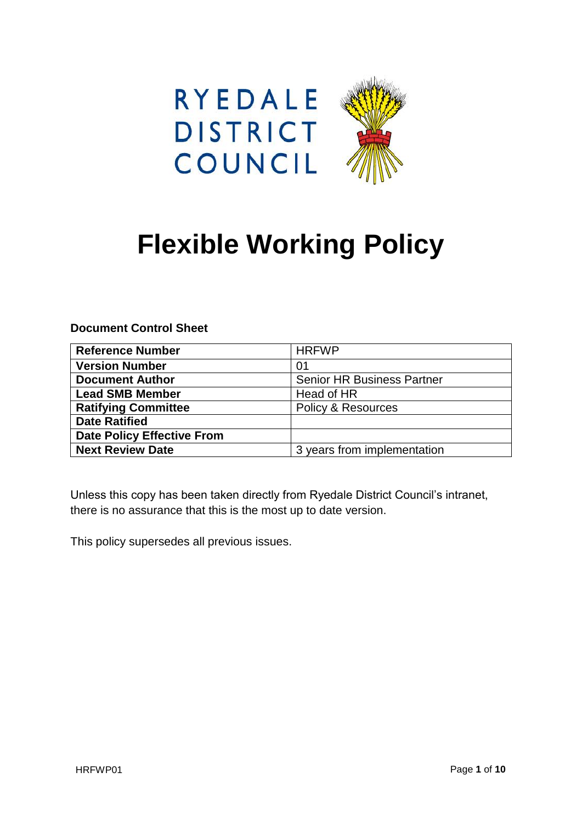



# **Flexible Working Policy**

**Document Control Sheet**

| <b>Reference Number</b>           | <b>HRFWP</b>                      |
|-----------------------------------|-----------------------------------|
| <b>Version Number</b>             | 01                                |
| <b>Document Author</b>            | <b>Senior HR Business Partner</b> |
| <b>Lead SMB Member</b>            | Head of HR                        |
| <b>Ratifying Committee</b>        | <b>Policy &amp; Resources</b>     |
| <b>Date Ratified</b>              |                                   |
| <b>Date Policy Effective From</b> |                                   |
| <b>Next Review Date</b>           | 3 years from implementation       |

Unless this copy has been taken directly from Ryedale District Council's intranet, there is no assurance that this is the most up to date version.

This policy supersedes all previous issues.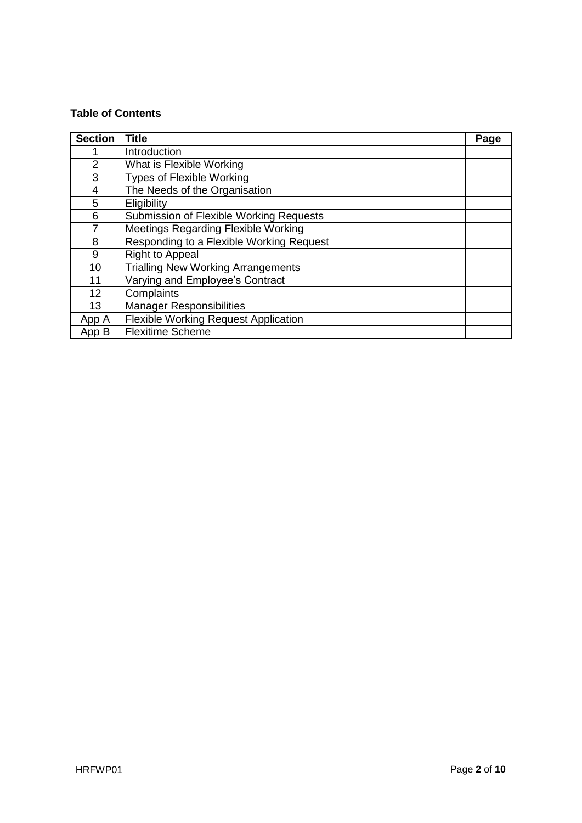# **Table of Contents**

| <b>Section</b> | <b>Title</b>                                | Page |
|----------------|---------------------------------------------|------|
|                | Introduction                                |      |
| $\overline{2}$ | What is Flexible Working                    |      |
| 3              | <b>Types of Flexible Working</b>            |      |
| 4              | The Needs of the Organisation               |      |
| 5              | Eligibility                                 |      |
| 6              | Submission of Flexible Working Requests     |      |
| 7              | Meetings Regarding Flexible Working         |      |
| 8              | Responding to a Flexible Working Request    |      |
| 9              | <b>Right to Appeal</b>                      |      |
| 10             | <b>Trialling New Working Arrangements</b>   |      |
| 11             | Varying and Employee's Contract             |      |
| 12             | Complaints                                  |      |
| 13             | <b>Manager Responsibilities</b>             |      |
| App A          | <b>Flexible Working Request Application</b> |      |
| App B          | <b>Flexitime Scheme</b>                     |      |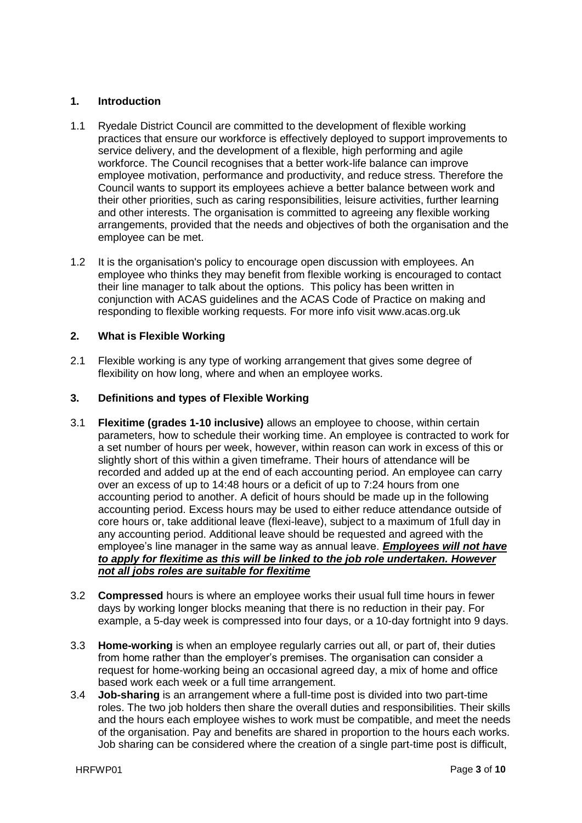# **1. Introduction**

- 1.1 Ryedale District Council are committed to the development of flexible working practices that ensure our workforce is effectively deployed to support improvements to service delivery, and the development of a flexible, high performing and agile workforce. The Council recognises that a better work-life balance can improve employee motivation, performance and productivity, and reduce stress. Therefore the Council wants to support its employees achieve a better balance between work and their other priorities, such as caring responsibilities, leisure activities, further learning and other interests. The organisation is committed to agreeing any flexible working arrangements, provided that the needs and objectives of both the organisation and the employee can be met.
- 1.2 It is the organisation's policy to encourage open discussion with employees. An employee who thinks they may benefit from flexible working is encouraged to contact their line manager to talk about the options. This policy has been written in conjunction with ACAS guidelines and the ACAS Code of Practice on making and responding to flexible working requests. For more info visit www.acas.org.uk

# **2. What is Flexible Working**

2.1 Flexible working is any type of working arrangement that gives some degree of flexibility on how long, where and when an employee works.

# **3. Definitions and types of Flexible Working**

- 3.1 **Flexitime (grades 1-10 inclusive)** allows an employee to choose, within certain parameters, how to schedule their working time. An employee is contracted to work for a set number of hours per week, however, within reason can work in excess of this or slightly short of this within a given timeframe. Their hours of attendance will be recorded and added up at the end of each accounting period. An employee can carry over an excess of up to 14:48 hours or a deficit of up to 7:24 hours from one accounting period to another. A deficit of hours should be made up in the following accounting period. Excess hours may be used to either reduce attendance outside of core hours or, take additional leave (flexi-leave), subject to a maximum of 1full day in any accounting period. Additional leave should be requested and agreed with the employee's line manager in the same way as annual leave. *Employees will not have to apply for flexitime as this will be linked to the job role undertaken. However not all jobs roles are suitable for flexitime*
- 3.2 **Compressed** hours is where an employee works their usual full time hours in fewer days by working longer blocks meaning that there is no reduction in their pay. For example, a 5-day week is compressed into four days, or a 10-day fortnight into 9 days.
- 3.3 **Home-working** is when an employee regularly carries out all, or part of, their duties from home rather than the employer's premises. The organisation can consider a request for home-working being an occasional agreed day, a mix of home and office based work each week or a full time arrangement.
- 3.4 **Job-sharing** is an arrangement where a full-time post is divided into two part-time roles. The two job holders then share the overall duties and responsibilities. Their skills and the hours each employee wishes to work must be compatible, and meet the needs of the organisation. Pay and benefits are shared in proportion to the hours each works. Job sharing can be considered where the creation of a single part-time post is difficult,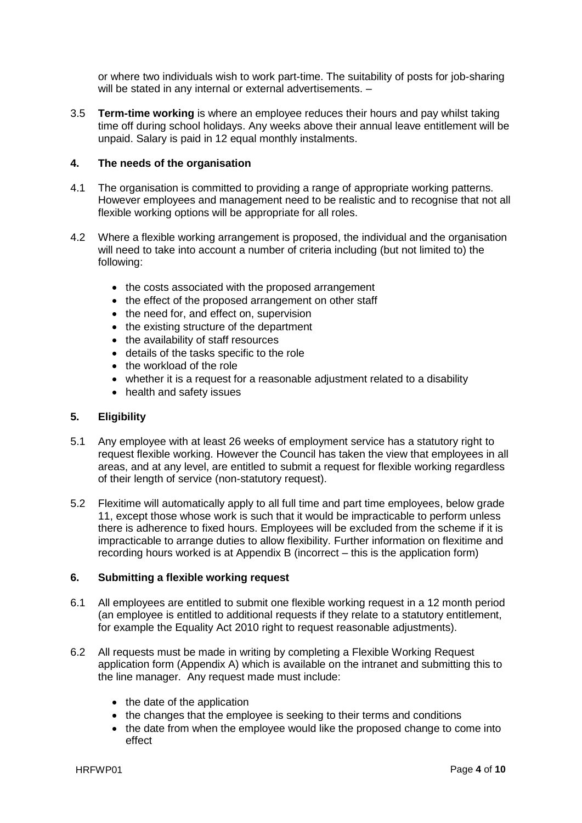or where two individuals wish to work part-time. The suitability of posts for job-sharing will be stated in any internal or external advertisements. -

3.5 **Term-time working** is where an employee reduces their hours and pay whilst taking time off during school holidays. Any weeks above their annual leave entitlement will be unpaid. Salary is paid in 12 equal monthly instalments.

#### **4. The needs of the organisation**

- 4.1 The organisation is committed to providing a range of appropriate working patterns. However employees and management need to be realistic and to recognise that not all flexible working options will be appropriate for all roles.
- 4.2 Where a flexible working arrangement is proposed, the individual and the organisation will need to take into account a number of criteria including (but not limited to) the following:
	- the costs associated with the proposed arrangement
	- the effect of the proposed arrangement on other staff
	- the need for, and effect on, supervision
	- the existing structure of the department
	- the availability of staff resources
	- details of the tasks specific to the role
	- the workload of the role
	- whether it is a request for a reasonable adjustment related to a disability
	- health and safety issues

#### **5. Eligibility**

- 5.1 Any employee with at least 26 weeks of employment service has a statutory right to request flexible working. However the Council has taken the view that employees in all areas, and at any level, are entitled to submit a request for flexible working regardless of their length of service (non-statutory request).
- 5.2 Flexitime will automatically apply to all full time and part time employees, below grade 11, except those whose work is such that it would be impracticable to perform unless there is adherence to fixed hours. Employees will be excluded from the scheme if it is impracticable to arrange duties to allow flexibility. Further information on flexitime and recording hours worked is at Appendix B (incorrect – this is the application form)

#### **6. Submitting a flexible working request**

- 6.1 All employees are entitled to submit one flexible working request in a 12 month period (an employee is entitled to additional requests if they relate to a statutory entitlement, for example the Equality Act 2010 right to request reasonable adjustments).
- 6.2 All requests must be made in writing by completing a Flexible Working Request application form (Appendix A) which is available on the intranet and submitting this to the line manager. Any request made must include:
	- the date of the application
	- the changes that the employee is seeking to their terms and conditions
	- the date from when the employee would like the proposed change to come into effect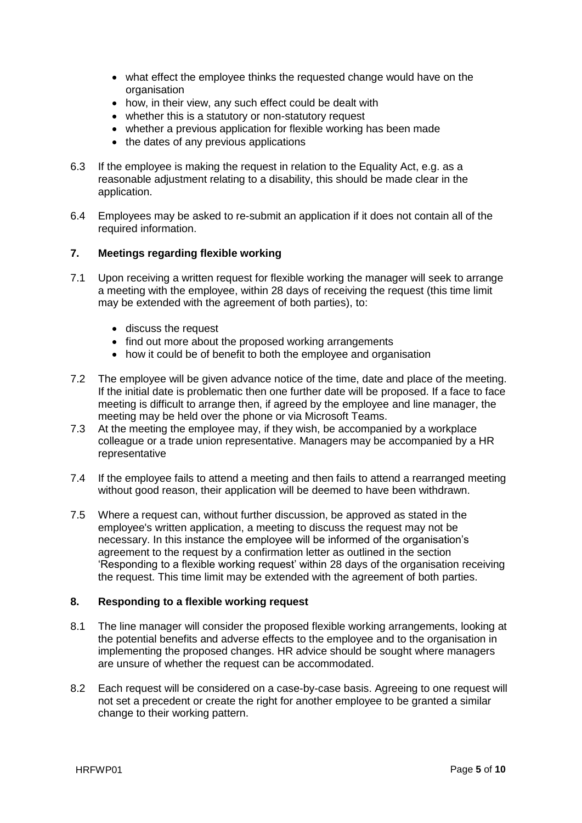- what effect the employee thinks the requested change would have on the organisation
- how, in their view, any such effect could be dealt with
- whether this is a statutory or non-statutory request
- whether a previous application for flexible working has been made
- the dates of any previous applications
- 6.3 If the employee is making the request in relation to the Equality Act, e.g. as a reasonable adjustment relating to a disability, this should be made clear in the application.
- 6.4 Employees may be asked to re-submit an application if it does not contain all of the required information.

# **7. Meetings regarding flexible working**

- 7.1 Upon receiving a written request for flexible working the manager will seek to arrange a meeting with the employee, within 28 days of receiving the request (this time limit may be extended with the agreement of both parties), to:
	- discuss the request
	- find out more about the proposed working arrangements
	- how it could be of benefit to both the employee and organisation
- 7.2 The employee will be given advance notice of the time, date and place of the meeting. If the initial date is problematic then one further date will be proposed. If a face to face meeting is difficult to arrange then, if agreed by the employee and line manager, the meeting may be held over the phone or via Microsoft Teams.
- 7.3 At the meeting the employee may, if they wish, be accompanied by a workplace colleague or a trade union representative. Managers may be accompanied by a HR representative
- 7.4 If the employee fails to attend a meeting and then fails to attend a rearranged meeting without good reason, their application will be deemed to have been withdrawn.
- 7.5 Where a request can, without further discussion, be approved as stated in the employee's written application, a meeting to discuss the request may not be necessary. In this instance the employee will be informed of the organisation's agreement to the request by a confirmation letter as outlined in the section 'Responding to a flexible working request' within 28 days of the organisation receiving the request. This time limit may be extended with the agreement of both parties.

#### **8. Responding to a flexible working request**

- 8.1 The line manager will consider the proposed flexible working arrangements, looking at the potential benefits and adverse effects to the employee and to the organisation in implementing the proposed changes. HR advice should be sought where managers are unsure of whether the request can be accommodated.
- 8.2 Each request will be considered on a case-by-case basis. Agreeing to one request will not set a precedent or create the right for another employee to be granted a similar change to their working pattern.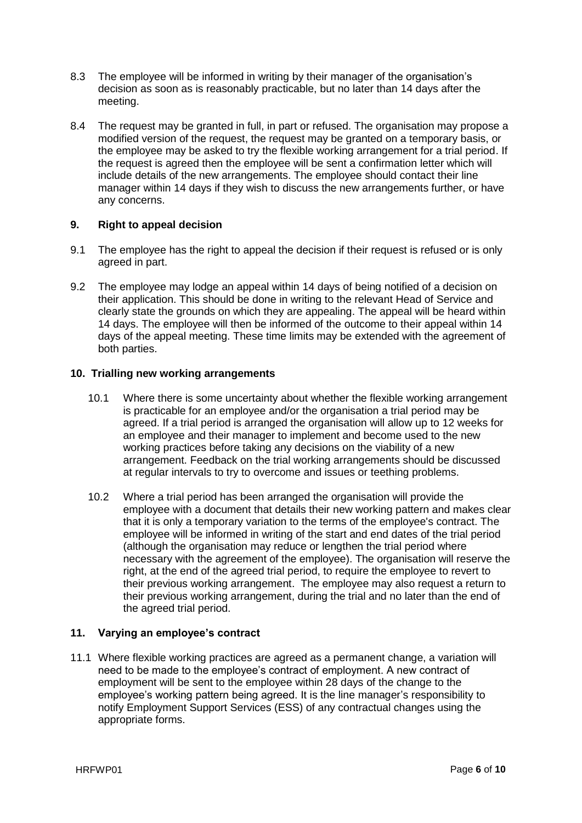- 8.3 The employee will be informed in writing by their manager of the organisation's decision as soon as is reasonably practicable, but no later than 14 days after the meeting.
- 8.4 The request may be granted in full, in part or refused. The organisation may propose a modified version of the request, the request may be granted on a temporary basis, or the employee may be asked to try the flexible working arrangement for a trial period. If the request is agreed then the employee will be sent a confirmation letter which will include details of the new arrangements. The employee should contact their line manager within 14 days if they wish to discuss the new arrangements further, or have any concerns.

# **9. Right to appeal decision**

- 9.1 The employee has the right to appeal the decision if their request is refused or is only agreed in part.
- 9.2 The employee may lodge an appeal within 14 days of being notified of a decision on their application. This should be done in writing to the relevant Head of Service and clearly state the grounds on which they are appealing. The appeal will be heard within 14 days. The employee will then be informed of the outcome to their appeal within 14 days of the appeal meeting. These time limits may be extended with the agreement of both parties.

#### **10. Trialling new working arrangements**

- 10.1 Where there is some uncertainty about whether the flexible working arrangement is practicable for an employee and/or the organisation a trial period may be agreed. If a trial period is arranged the organisation will allow up to 12 weeks for an employee and their manager to implement and become used to the new working practices before taking any decisions on the viability of a new arrangement. Feedback on the trial working arrangements should be discussed at regular intervals to try to overcome and issues or teething problems.
- 10.2 Where a trial period has been arranged the organisation will provide the employee with a document that details their new working pattern and makes clear that it is only a temporary variation to the terms of the employee's contract. The employee will be informed in writing of the start and end dates of the trial period (although the organisation may reduce or lengthen the trial period where necessary with the agreement of the employee). The organisation will reserve the right, at the end of the agreed trial period, to require the employee to revert to their previous working arrangement. The employee may also request a return to their previous working arrangement, during the trial and no later than the end of the agreed trial period.

# **11. Varying an employee's contract**

11.1 Where flexible working practices are agreed as a permanent change, a variation will need to be made to the employee's contract of employment. A new contract of employment will be sent to the employee within 28 days of the change to the employee's working pattern being agreed. It is the line manager's responsibility to notify Employment Support Services (ESS) of any contractual changes using the appropriate forms.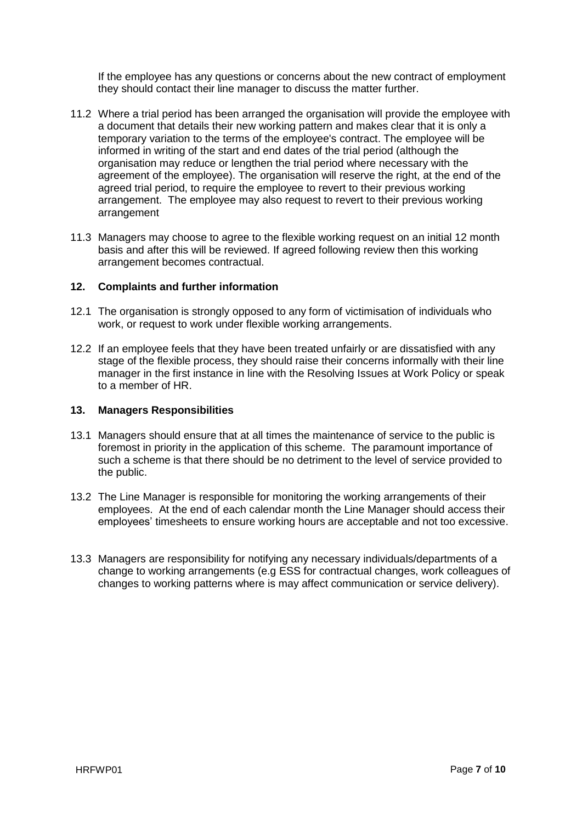If the employee has any questions or concerns about the new contract of employment they should contact their line manager to discuss the matter further.

- 11.2 Where a trial period has been arranged the organisation will provide the employee with a document that details their new working pattern and makes clear that it is only a temporary variation to the terms of the employee's contract. The employee will be informed in writing of the start and end dates of the trial period (although the organisation may reduce or lengthen the trial period where necessary with the agreement of the employee). The organisation will reserve the right, at the end of the agreed trial period, to require the employee to revert to their previous working arrangement. The employee may also request to revert to their previous working arrangement
- 11.3 Managers may choose to agree to the flexible working request on an initial 12 month basis and after this will be reviewed. If agreed following review then this working arrangement becomes contractual.

# **12. Complaints and further information**

- 12.1 The organisation is strongly opposed to any form of victimisation of individuals who work, or request to work under flexible working arrangements.
- 12.2 If an employee feels that they have been treated unfairly or are dissatisfied with any stage of the flexible process, they should raise their concerns informally with their line manager in the first instance in line with the Resolving Issues at Work Policy or speak to a member of HR.

# **13. Managers Responsibilities**

- 13.1 Managers should ensure that at all times the maintenance of service to the public is foremost in priority in the application of this scheme. The paramount importance of such a scheme is that there should be no detriment to the level of service provided to the public.
- 13.2 The Line Manager is responsible for monitoring the working arrangements of their employees. At the end of each calendar month the Line Manager should access their employees' timesheets to ensure working hours are acceptable and not too excessive.
- 13.3 Managers are responsibility for notifying any necessary individuals/departments of a change to working arrangements (e.g ESS for contractual changes, work colleagues of changes to working patterns where is may affect communication or service delivery).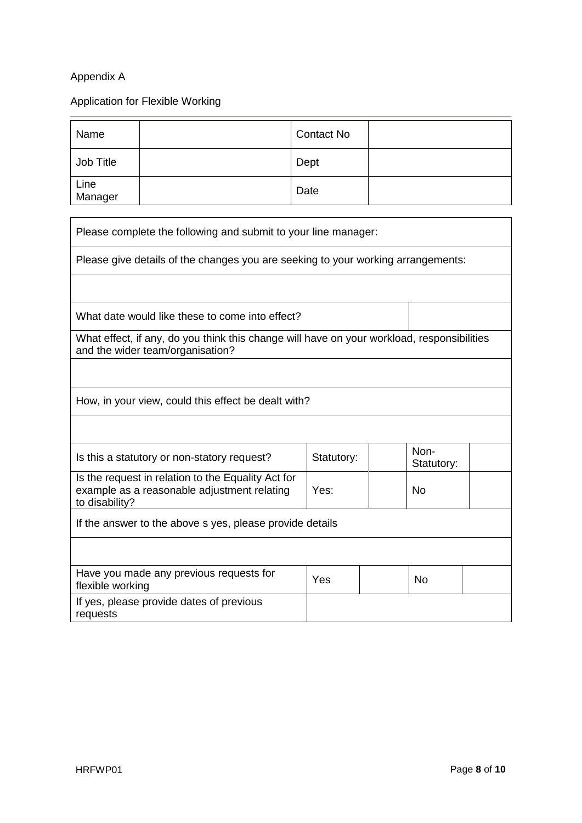# Appendix A

# Application for Flexible Working

| Name            | <b>Contact No</b> |  |
|-----------------|-------------------|--|
| Job Title       | Dept              |  |
| Line<br>Manager | Date              |  |

| Please complete the following and submit to your line manager:                                                                 |            |  |                    |  |
|--------------------------------------------------------------------------------------------------------------------------------|------------|--|--------------------|--|
| Please give details of the changes you are seeking to your working arrangements:                                               |            |  |                    |  |
|                                                                                                                                |            |  |                    |  |
| What date would like these to come into effect?                                                                                |            |  |                    |  |
| What effect, if any, do you think this change will have on your workload, responsibilities<br>and the wider team/organisation? |            |  |                    |  |
|                                                                                                                                |            |  |                    |  |
| How, in your view, could this effect be dealt with?                                                                            |            |  |                    |  |
|                                                                                                                                |            |  |                    |  |
| Is this a statutory or non-statory request?                                                                                    | Statutory: |  | Non-<br>Statutory: |  |
| Is the request in relation to the Equality Act for<br>example as a reasonable adjustment relating<br>to disability?            | Yes:       |  | <b>No</b>          |  |
| If the answer to the above s yes, please provide details                                                                       |            |  |                    |  |
|                                                                                                                                |            |  |                    |  |
| Have you made any previous requests for<br>flexible working                                                                    | Yes        |  | <b>No</b>          |  |
| If yes, please provide dates of previous<br>requests                                                                           |            |  |                    |  |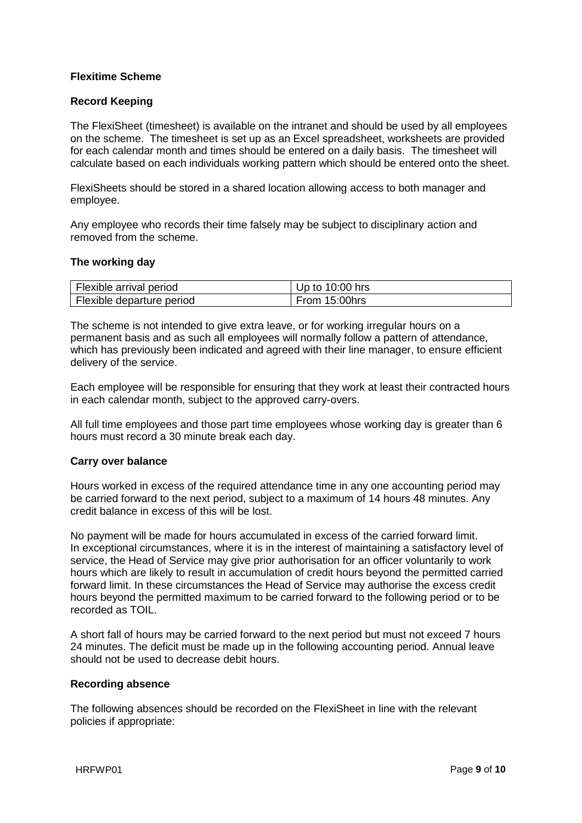# **Flexitime Scheme**

# **Record Keeping**

The FlexiSheet (timesheet) is available on the intranet and should be used by all employees on the scheme. The timesheet is set up as an Excel spreadsheet, worksheets are provided for each calendar month and times should be entered on a daily basis. The timesheet will calculate based on each individuals working pattern which should be entered onto the sheet.

FlexiSheets should be stored in a shared location allowing access to both manager and employee.

Any employee who records their time falsely may be subject to disciplinary action and removed from the scheme.

#### **The working day**

| Flexible arrival period   | Up to $10:00$ hrs |
|---------------------------|-------------------|
| Flexible departure period | From 15:00hrs     |

The scheme is not intended to give extra leave, or for working irregular hours on a permanent basis and as such all employees will normally follow a pattern of attendance, which has previously been indicated and agreed with their line manager, to ensure efficient delivery of the service.

Each employee will be responsible for ensuring that they work at least their contracted hours in each calendar month, subject to the approved carry-overs.

All full time employees and those part time employees whose working day is greater than 6 hours must record a 30 minute break each day.

#### **Carry over balance**

Hours worked in excess of the required attendance time in any one accounting period may be carried forward to the next period, subject to a maximum of 14 hours 48 minutes. Any credit balance in excess of this will be lost.

No payment will be made for hours accumulated in excess of the carried forward limit. In exceptional circumstances, where it is in the interest of maintaining a satisfactory level of service, the Head of Service may give prior authorisation for an officer voluntarily to work hours which are likely to result in accumulation of credit hours beyond the permitted carried forward limit. In these circumstances the Head of Service may authorise the excess credit hours beyond the permitted maximum to be carried forward to the following period or to be recorded as TOIL.

A short fall of hours may be carried forward to the next period but must not exceed 7 hours 24 minutes. The deficit must be made up in the following accounting period. Annual leave should not be used to decrease debit hours.

#### **Recording absence**

The following absences should be recorded on the FlexiSheet in line with the relevant policies if appropriate: